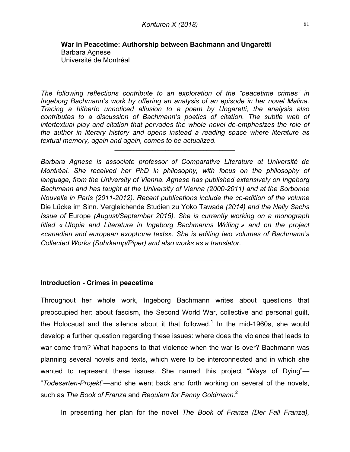$\mathcal{L}_\text{max}$  , and the set of the set of the set of the set of the set of the set of the set of the set of the set of the set of the set of the set of the set of the set of the set of the set of the set of the set of the

*The following reflections contribute to an exploration of the "peacetime crimes" in Ingeborg Bachmann's work by offering an analysis of an episode in her novel Malina. Tracing a hitherto unnoticed allusion to a poem by Ungaretti, the analysis also contributes to a discussion of Bachmann's poetics of citation. The subtle web of intertextual play and citation that pervades the whole novel de-emphasizes the role of the author in literary history and opens instead a reading space where literature as textual memory, again and again, comes to be actualized.*

 $\mathcal{L}_\text{max}$  , and the set of the set of the set of the set of the set of the set of the set of the set of the set of the set of the set of the set of the set of the set of the set of the set of the set of the set of the

*Barbara Agnese is associate professor of Comparative Literature at Université de Montréal. She received her PhD in philosophy, with focus on the philosophy of language, from the University of Vienna. Agnese has published extensively on Ingeborg Bachmann and has taught at the University of Vienna (2000-2011) and at the Sorbonne Nouvelle in Paris (2011-2012). Recent publications include the co-edition of the volume* Die Lücke im Sinn. Vergleichende Studien zu Yoko Tawada *(2014) and the Nelly Sachs Issue of* Europe *(August/September 2015). She is currently working on a monograph titled « Utopia and Literature in Ingeborg Bachmanns Writing » and on the project «canadian and european exophone texts». She is editing two volumes of Bachmann's Collected Works (Suhrkamp/Piper) and also works as a translator.*

 $\mathcal{L}_\text{max}$  , where  $\mathcal{L}_\text{max}$  and  $\mathcal{L}_\text{max}$  and  $\mathcal{L}_\text{max}$ 

# **Introduction - Crimes in peacetime**

Throughout her whole work, Ingeborg Bachmann writes about questions that preoccupied her: about fascism, the Second World War, collective and personal guilt, the Holocaust and the silence about it that followed.<sup>1</sup> In the mid-1960s, she would develop a further question regarding these issues: where does the violence that leads to war come from? What happens to that violence when the war is over? Bachmann was planning several novels and texts, which were to be interconnected and in which she wanted to represent these issues. She named this project "Ways of Dying"— "*Todesarten-Projekt*"—and she went back and forth working on several of the novels, such as *The Book of Franza* and *Requiem for Fanny Goldmann*. 2

In presenting her plan for the novel *The Book of Franza (Der Fall Franza),*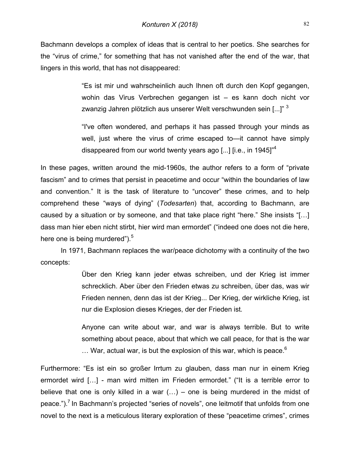Bachmann develops a complex of ideas that is central to her poetics. She searches for the "virus of crime," for something that has not vanished after the end of the war, that lingers in this world, that has not disappeared:

> "Es ist mir und wahrscheinlich auch Ihnen oft durch den Kopf gegangen, wohin das Virus Verbrechen gegangen ist – es kann doch nicht vor zwanzig Jahren plötzlich aus unserer Welt verschwunden sein [...]"<sup>3</sup>

> "I've often wondered, and perhaps it has passed through your minds as well, just where the virus of crime escaped to—it cannot have simply disappeared from our world twenty years ago [...]  $[$ i.e., in 1945]<sup> $4$ </sup>

In these pages, written around the mid-1960s, the author refers to a form of "private fascism" and to crimes that persist in peacetime and occur "within the boundaries of law and convention." It is the task of literature to "uncover" these crimes, and to help comprehend these "ways of dying" (*Todesarten*) that, according to Bachmann, are caused by a situation or by someone, and that take place right "here." She insists "[…] dass man hier eben nicht stirbt, hier wird man ermordet" ("indeed one does not die here, here one is being murdered").<sup>5</sup>

In 1971, Bachmann replaces the war/peace dichotomy with a continuity of the two concepts:

> Über den Krieg kann jeder etwas schreiben, und der Krieg ist immer schrecklich. Aber über den Frieden etwas zu schreiben, über das, was wir Frieden nennen, denn das ist der Krieg... Der Krieg, der wirkliche Krieg, ist nur die Explosion dieses Krieges, der der Frieden ist*.*

> Anyone can write about war, and war is always terrible. But to write something about peace, about that which we call peace, for that is the war  $\ldots$  War, actual war, is but the explosion of this war, which is peace.<sup>6</sup>

Furthermore: "Es ist ein so großer Irrtum zu glauben, dass man nur in einem Krieg ermordet wird […] - man wird mitten im Frieden ermordet." ("It is a terrible error to believe that one is only killed in a war  $(...)$  – one is being murdered in the midst of peace.").<sup>7</sup> In Bachmann's projected "series of novels", one leitmotif that unfolds from one novel to the next is a meticulous literary exploration of these "peacetime crimes", crimes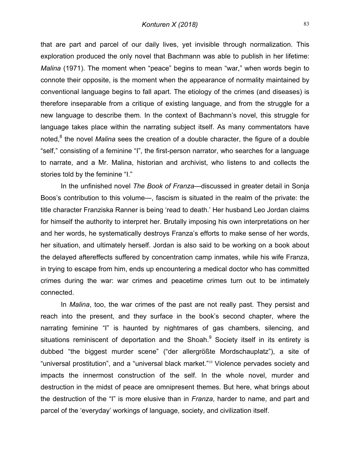that are part and parcel of our daily lives, yet invisible through normalization. This exploration produced the only novel that Bachmann was able to publish in her lifetime: *Malina* (1971). The moment when "peace" begins to mean "war," when words begin to connote their opposite, is the moment when the appearance of normality maintained by conventional language begins to fall apart. The etiology of the crimes (and diseases) is therefore inseparable from a critique of existing language, and from the struggle for a new language to describe them. In the context of Bachmann's novel, this struggle for language takes place within the narrating subject itself. As many commentators have noted,<sup>8</sup> the novel *Malina* sees the creation of a double character, the figure of a double "self," consisting of a feminine "I", the first-person narrator, who searches for a language to narrate, and a Mr. Malina, historian and archivist, who listens to and collects the stories told by the feminine "I."

In the unfinished novel *The Book of Franza—*discussed in greater detail in Sonja Boos's contribution to this volume—, fascism is situated in the realm of the private: the title character Franziska Ranner is being 'read to death.' Her husband Leo Jordan claims for himself the authority to interpret her. Brutally imposing his own interpretations on her and her words, he systematically destroys Franza's efforts to make sense of her words, her situation, and ultimately herself. Jordan is also said to be working on a book about the delayed aftereffects suffered by concentration camp inmates, while his wife Franza, in trying to escape from him, ends up encountering a medical doctor who has committed crimes during the war: war crimes and peacetime crimes turn out to be intimately connected.

In *Malina*, too, the war crimes of the past are not really past. They persist and reach into the present, and they surface in the book's second chapter, where the narrating feminine "I" is haunted by nightmares of gas chambers, silencing, and situations reminiscent of deportation and the Shoah. $9$  Society itself in its entirety is dubbed "the biggest murder scene" ("der allergrößte Mordschauplatz"), a site of "universal prostitution", and a "universal black market."<sup>10</sup> Violence pervades society and impacts the innermost construction of the self. In the whole novel, murder and destruction in the midst of peace are omnipresent themes. But here, what brings about the destruction of the "I" is more elusive than in *Franza*, harder to name, and part and parcel of the 'everyday' workings of language, society, and civilization itself.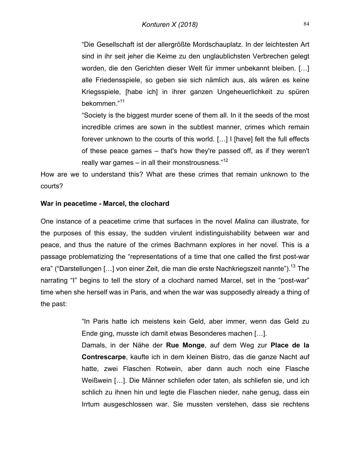"Die Gesellschaft ist der allergrößte Mordschauplatz. In der leichtesten Art sind in ihr seit jeher die Keime zu den unglaublichsten Verbrechen gelegt worden, die den Gerichten dieser Welt für immer unbekannt bleiben. […] alle Friedensspiele, so geben sie sich nämlich aus, als wären es keine Kriegsspiele, [habe ich] in ihrer ganzen Ungeheuerlichkeit zu spüren bekommen."<sup>11</sup>

"Society is the biggest murder scene of them all. In it the seeds of the most incredible crimes are sown in the subtlest manner, crimes which remain forever unknown to the courts of this world. […] I [have] felt the full effects of these peace games – that's how they're passed off, as if they weren't really war games – in all their monstrousness. $12$ 

How are we to understand this? What are these crimes that remain unknown to the courts?

### **War in peacetime - Marcel, the clochard**

One instance of a peacetime crime that surfaces in the novel *Malina* can illustrate, for the purposes of this essay, the sudden virulent indistinguishability between war and peace, and thus the nature of the crimes Bachmann explores in her novel. This is a passage problematizing the "representations of a time that one called the first post-war era" ("Darstellungen [...] von einer Zeit, die man die erste Nachkriegszeit nannte").<sup>13</sup> The narrating "I" begins to tell the story of a clochard named Marcel, set in the "post-war" time when she herself was in Paris, and when the war was supposedly already a thing of the past:

> "In Paris hatte ich meistens kein Geld, aber immer, wenn das Geld zu Ende ging, musste ich damit etwas Besonderes machen […].

> Damals, in der Nähe der **Rue Monge**, auf dem Weg zur **Place de la Contrescarpe**, kaufte ich in dem kleinen Bistro, das die ganze Nacht auf hatte, zwei Flaschen Rotwein, aber dann auch noch eine Flasche Weißwein […]. Die Männer schliefen oder taten, als schliefen sie, und ich schlich zu ihnen hin und legte die Flaschen nieder, nahe genug, dass ein Irrtum ausgeschlossen war. Sie mussten verstehen, dass sie rechtens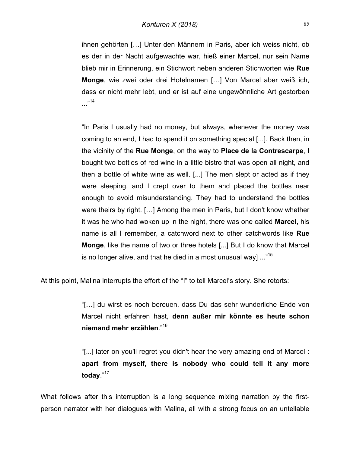ihnen gehörten […] Unter den Männern in Paris, aber ich weiss nicht, ob es der in der Nacht aufgewachte war, hieß einer Marcel, nur sein Name blieb mir in Erinnerung, ein Stichwort neben anderen Stichworten wie **Rue Monge**, wie zwei oder drei Hotelnamen […] Von Marcel aber weiß ich, dass er nicht mehr lebt, und er ist auf eine ungewöhnliche Art gestorben  $...$ <sup>14</sup>

"In Paris I usually had no money, but always, whenever the money was coming to an end, I had to spend it on something special [...]. Back then, in the vicinity of the **Rue Monge**, on the way to **Place de la Contrescarpe**, I bought two bottles of red wine in a little bistro that was open all night, and then a bottle of white wine as well. [...] The men slept or acted as if they were sleeping, and I crept over to them and placed the bottles near enough to avoid misunderstanding. They had to understand the bottles were theirs by right. […] Among the men in Paris, but I don't know whether it was he who had woken up in the night, there was one called **Marcel**, his name is all I remember, a catchword next to other catchwords like **Rue Monge**, like the name of two or three hotels [...] But I do know that Marcel is no longer alive, and that he died in a most unusual wayl  $\ldots$ <sup>15</sup>

At this point, Malina interrupts the effort of the "I" to tell Marcel's story. She retorts:

"[…] du wirst es noch bereuen, dass Du das sehr wunderliche Ende von Marcel nicht erfahren hast, **denn außer mir könnte es heute schon niemand mehr erzählen**."16

"[...] later on you'll regret you didn't hear the very amazing end of Marcel : **apart from myself, there is nobody who could tell it any more today**."<sup>17</sup>

What follows after this interruption is a long sequence mixing narration by the firstperson narrator with her dialogues with Malina, all with a strong focus on an untellable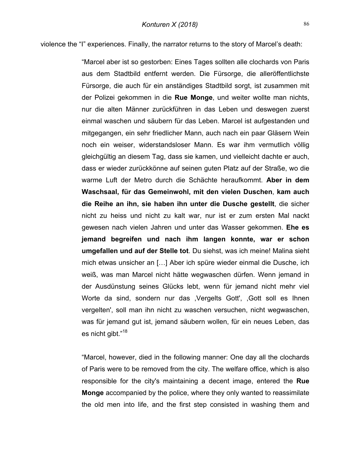violence the "I" experiences. Finally, the narrator returns to the story of Marcel's death:

"Marcel aber ist so gestorben: Eines Tages sollten alle clochards von Paris aus dem Stadtbild entfernt werden. Die Fürsorge, die alleröffentlichste Fürsorge, die auch für ein anständiges Stadtbild sorgt, ist zusammen mit der Polizei gekommen in die **Rue Monge**, und weiter wollte man nichts, nur die alten Männer zurückführen in das Leben und deswegen zuerst einmal waschen und säubern für das Leben. Marcel ist aufgestanden und mitgegangen, ein sehr friedlicher Mann, auch nach ein paar Gläsern Wein noch ein weiser, widerstandsloser Mann. Es war ihm vermutlich völlig gleichgültig an diesem Tag, dass sie kamen, und vielleicht dachte er auch, dass er wieder zurückkönne auf seinen guten Platz auf der Straße, wo die warme Luft der Metro durch die Schächte heraufkommt. **Aber in dem Waschsaal, für das Gemeinwohl, mit den vielen Duschen**, **kam auch die Reihe an ihn, sie haben ihn unter die Dusche gestellt**, die sicher nicht zu heiss und nicht zu kalt war, nur ist er zum ersten Mal nackt gewesen nach vielen Jahren und unter das Wasser gekommen. **Ehe es jemand begreifen und nach ihm langen konnte, war er schon umgefallen und auf der Stelle tot**. Du siehst, was ich meine! Malina sieht mich etwas unsicher an […] Aber ich spüre wieder einmal die Dusche, ich weiß, was man Marcel nicht hätte wegwaschen dürfen. Wenn jemand in der Ausdünstung seines Glücks lebt, wenn für jemand nicht mehr viel Worte da sind, sondern nur das ,Vergelts Gott', ,Gott soll es Ihnen vergelten', soll man ihn nicht zu waschen versuchen, nicht wegwaschen, was für jemand gut ist, jemand säubern wollen, für ein neues Leben, das es nicht gibt."18

"Marcel, however, died in the following manner: One day all the clochards of Paris were to be removed from the city. The welfare office, which is also responsible for the city's maintaining a decent image, entered the **Rue Monge** accompanied by the police, where they only wanted to reassimilate the old men into life, and the first step consisted in washing them and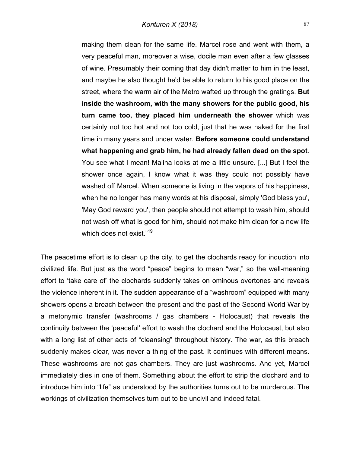making them clean for the same life. Marcel rose and went with them, a very peaceful man, moreover a wise, docile man even after a few glasses of wine. Presumably their coming that day didn't matter to him in the least, and maybe he also thought he'd be able to return to his good place on the street, where the warm air of the Metro wafted up through the gratings. **But inside the washroom, with the many showers for the public good, his turn came too, they placed him underneath the shower** which was certainly not too hot and not too cold, just that he was naked for the first time in many years and under water. **Before someone could understand what happening and grab him, he had already fallen dead on the spot**. You see what I mean! Malina looks at me a little unsure. [...] But I feel the shower once again, I know what it was they could not possibly have washed off Marcel. When someone is living in the vapors of his happiness, when he no longer has many words at his disposal, simply 'God bless you', 'May God reward you', then people should not attempt to wash him, should not wash off what is good for him, should not make him clean for a new life which does not exist."<sup>19</sup>

The peacetime effort is to clean up the city, to get the clochards ready for induction into civilized life. But just as the word "peace" begins to mean "war," so the well-meaning effort to 'take care of' the clochards suddenly takes on ominous overtones and reveals the violence inherent in it. The sudden appearance of a "washroom" equipped with many showers opens a breach between the present and the past of the Second World War by a metonymic transfer (washrooms / gas chambers - Holocaust) that reveals the continuity between the 'peaceful' effort to wash the clochard and the Holocaust, but also with a long list of other acts of "cleansing" throughout history. The war, as this breach suddenly makes clear, was never a thing of the past. It continues with different means. These washrooms are not gas chambers. They are just washrooms. And yet, Marcel immediately dies in one of them. Something about the effort to strip the clochard and to introduce him into "life" as understood by the authorities turns out to be murderous. The workings of civilization themselves turn out to be uncivil and indeed fatal.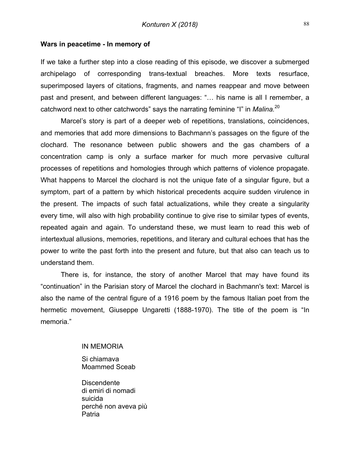#### **Wars in peacetime - In memory of**

If we take a further step into a close reading of this episode, we discover a submerged archipelago of corresponding trans-textual breaches. More texts resurface, superimposed layers of citations, fragments, and names reappear and move between past and present, and between different languages: "… his name is all I remember, a catchword next to other catchwords" says the narrating feminine "I" in *Malina.*<sup>20</sup>

Marcel's story is part of a deeper web of repetitions, translations, coincidences, and memories that add more dimensions to Bachmann's passages on the figure of the clochard. The resonance between public showers and the gas chambers of a concentration camp is only a surface marker for much more pervasive cultural processes of repetitions and homologies through which patterns of violence propagate. What happens to Marcel the clochard is not the unique fate of a singular figure, but a symptom, part of a pattern by which historical precedents acquire sudden virulence in the present. The impacts of such fatal actualizations, while they create a singularity every time, will also with high probability continue to give rise to similar types of events, repeated again and again. To understand these, we must learn to read this web of intertextual allusions, memories, repetitions, and literary and cultural echoes that has the power to write the past forth into the present and future, but that also can teach us to understand them.

There is, for instance, the story of another Marcel that may have found its "continuation" in the Parisian story of Marcel the clochard in Bachmann's text: Marcel is also the name of the central figure of a 1916 poem by the famous Italian poet from the hermetic movement, Giuseppe Ungaretti (1888-1970). The title of the poem is "In memoria."

#### IN MEMORIA

Si chiamava Moammed Sceab

**Discendente** di emiri di nomadi suicida perché non aveva più Patria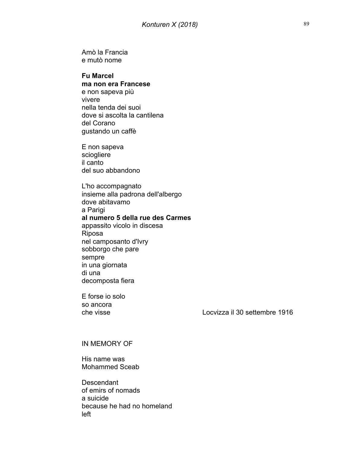Amò la Francia e mutò nome

# **Fu Marcel**

**ma non era Francese** e non sapeva più vivere nella tenda dei suoi dove si ascolta la cantilena del Corano gustando un caffè

E non sapeva sciogliere il canto del suo abbandono

L'ho accompagnato insieme alla padrona dell'albergo dove abitavamo a Parigi **al numero 5 della rue des Carmes** appassito vicolo in discesa Riposa nel camposanto d'Ivry sobborgo che pare sempre in una giornata di una decomposta fiera

E forse io solo so ancora

che visse Locvizza il 30 settembre 1916

#### IN MEMORY OF

His name was Mohammed Sceab

**Descendant** of emirs of nomads a suicide because he had no homeland left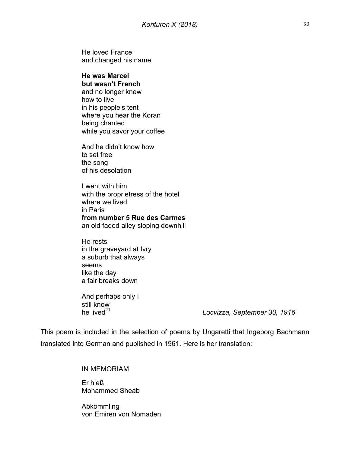He loved France and changed his name

#### **He was Marcel but wasn't French**

and no longer knew how to live in his people's tent where you hear the Koran being chanted while you savor your coffee

And he didn't know how to set free the song of his desolation

I went with him with the proprietress of the hotel where we lived in Paris **from number 5 Rue des Carmes** an old faded alley sloping downhill

He rests in the graveyard at Ivry a suburb that always seems like the day a fair breaks down

And perhaps only I still know<br>he lived<sup>21</sup>

Locvizza, September 30, 1916

This poem is included in the selection of poems by Ungaretti that Ingeborg Bachmann translated into German and published in 1961. Here is her translation:

IN MEMORIAM

Er hieß Mohammed Sheab

Abkömmling von Emiren von Nomaden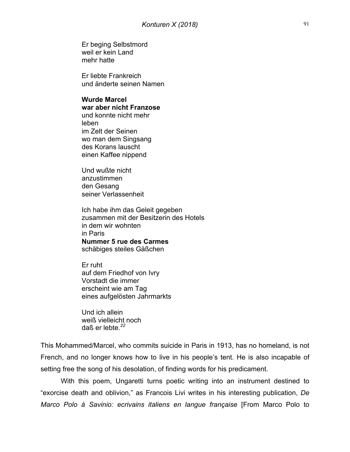Er beging Selbstmord weil er kein Land mehr hatte

Er liebte Frankreich und änderte seinen Namen

#### **Wurde Marcel**

**war aber nicht Franzose** und konnte nicht mehr leben im Zelt der Seinen wo man dem Singsang des Korans lauscht einen Kaffee nippend

Und wußte nicht anzustimmen den Gesang seiner Verlassenheit

Ich habe ihm das Geleit gegeben zusammen mit der Besitzerin des Hotels in dem wir wohnten in Paris **Nummer 5 rue des Carmes** schäbiges steiles Gäßchen

Er ruht auf dem Friedhof von Ivry Vorstadt die immer erscheint wie am Tag eines aufgelösten Jahrmarkts

Und ich allein weiß vielleicht noch daß er lebte.*<sup>22</sup>*

This Mohammed/Marcel, who commits suicide in Paris in 1913, has no homeland, is not French, and no longer knows how to live in his people's tent. He is also incapable of setting free the song of his desolation, of finding words for his predicament.

With this poem, Ungaretti turns poetic writing into an instrument destined to "exorcise death and oblivion," as Francois Livi writes in his interesting publication, *De Marco Polo à Savinio: ecrivains italiens en langue française* [From Marco Polo to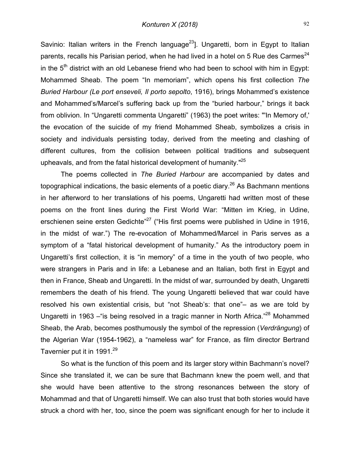Savinio: Italian writers in the French language<sup>23</sup>]. Ungaretti, born in Egypt to Italian parents, recalls his Parisian period, when he had lived in a hotel on 5 Rue des Carmes<sup>24</sup> in the  $5<sup>th</sup>$  district with an old Lebanese friend who had been to school with him in Egypt: Mohammed Sheab. The poem "In memoriam", which opens his first collection *The Buried Harbour (Le port enseveli, Il porto sepolto*, 1916), brings Mohammed's existence and Mohammed's/Marcel's suffering back up from the "buried harbour," brings it back from oblivion. In "Ungaretti commenta Ungaretti" (1963) the poet writes: "'In Memory of,' the evocation of the suicide of my friend Mohammed Sheab, symbolizes a crisis in society and individuals persisting today, derived from the meeting and clashing of different cultures, from the collision between political traditions and subsequent upheavals, and from the fatal historical development of humanity."<sup>25</sup>

The poems collected in *The Buried Harbour* are accompanied by dates and topographical indications, the basic elements of a poetic diary.<sup>26</sup> As Bachmann mentions in her afterword to her translations of his poems, Ungaretti had written most of these poems on the front lines during the First World War: "Mitten im Krieg, in Udine, erschienen seine ersten Gedichte<sup>"27</sup> ("His first poems were published in Udine in 1916, in the midst of war.") The re-evocation of Mohammed/Marcel in Paris serves as a symptom of a "fatal historical development of humanity." As the introductory poem in Ungaretti's first collection, it is "in memory" of a time in the youth of two people, who were strangers in Paris and in life: a Lebanese and an Italian, both first in Egypt and then in France, Sheab and Ungaretti. In the midst of war, surrounded by death, Ungaretti remembers the death of his friend. The young Ungaretti believed that war could have resolved his own existential crisis, but "not Sheab's: that one"– as we are told by Ungaretti in 1963 – "is being resolved in a tragic manner in North Africa."<sup>28</sup> Mohammed Sheab, the Arab, becomes posthumously the symbol of the repression (*Verdrängung*) of the Algerian War (1954-1962), a "nameless war" for France, as film director Bertrand Tavernier put it in 1991.<sup>29</sup>

So what is the function of this poem and its larger story within Bachmann's novel? Since she translated it, we can be sure that Bachmann knew the poem well, and that she would have been attentive to the strong resonances between the story of Mohammad and that of Ungaretti himself. We can also trust that both stories would have struck a chord with her, too, since the poem was significant enough for her to include it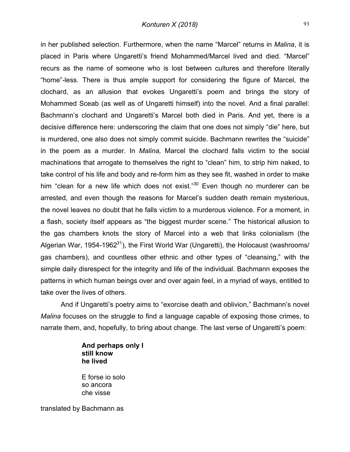in her published selection. Furthermore, when the name "Marcel" returns in *Malina*, it is placed in Paris where Ungaretti's friend Mohammed/Marcel lived and died. "Marcel" recurs as the name of someone who is lost between cultures and therefore literally "home"-less. There is thus ample support for considering the figure of Marcel, the clochard, as an allusion that evokes Ungaretti's poem and brings the story of Mohammed Sceab (as well as of Ungaretti himself) into the novel. And a final parallel: Bachmann's clochard and Ungaretti's Marcel both died in Paris. And yet, there is a decisive difference here: underscoring the claim that one does not simply "die" here, but is murdered, one also does not simply commit suicide. Bachmann rewrites the "suicide" in the poem as a murder. In *Malina,* Marcel the clochard falls victim to the social machinations that arrogate to themselves the right to "clean" him, to strip him naked, to take control of his life and body and re-form him as they see fit, washed in order to make him "clean for a new life which does not exist." $30$  Even though no murderer can be arrested, and even though the reasons for Marcel's sudden death remain mysterious, the novel leaves no doubt that he falls victim to a murderous violence. For a moment, in a flash, society itself appears as "the biggest murder scene." The historical allusion to the gas chambers knots the story of Marcel into a web that links colonialism (the Algerian War, 1954-1962<sup>31</sup>), the First World War (Ungaretti), the Holocaust (washrooms/ gas chambers), and countless other ethnic and other types of "cleansing," with the simple daily disrespect for the integrity and life of the individual. Bachmann exposes the patterns in which human beings over and over again feel, in a myriad of ways, entitled to take over the lives of others.

And if Ungaretti's poetry aims to "exorcise death and oblivion," Bachmann's novel *Malina* focuses on the struggle to find a language capable of exposing those crimes, to narrate them, and, hopefully, to bring about change. The last verse of Ungaretti's poem:

## **And perhaps only I still know he lived**

E forse io solo so ancora che visse

translated by Bachmann as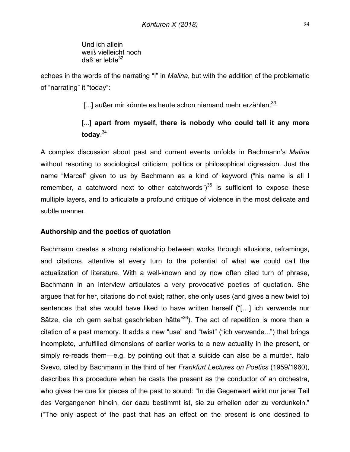Und ich allein weiß vielleicht noch daß er lebte $32$ 

echoes in the words of the narrating "I" in *Malina*, but with the addition of the problematic of "narrating" it "today":

[...] außer mir könnte es heute schon niemand mehr erzählen.<sup>33</sup>

# [...] apart from myself, there is nobody who could tell it any more **today**. 34

A complex discussion about past and current events unfolds in Bachmann's *Malina* without resorting to sociological criticism, politics or philosophical digression. Just the name "Marcel" given to us by Bachmann as a kind of keyword ("his name is all I remember, a catchword next to other catchwords") $^{35}$  is sufficient to expose these multiple layers, and to articulate a profound critique of violence in the most delicate and subtle manner.

# **Authorship and the poetics of quotation**

Bachmann creates a strong relationship between works through allusions, reframings, and citations, attentive at every turn to the potential of what we could call the actualization of literature. With a well-known and by now often cited turn of phrase, Bachmann in an interview articulates a very provocative poetics of quotation. She argues that for her, citations do not exist; rather, she only uses (and gives a new twist to) sentences that she would have liked to have written herself ("[…] ich verwende nur Sätze, die ich gern selbst geschrieben hätte<sup>"36</sup>). The act of repetition is more than a citation of a past memory. It adds a new "use" and "twist" ("ich verwende...") that brings incomplete, unfulfilled dimensions of earlier works to a new actuality in the present, or simply re-reads them—e.g. by pointing out that a suicide can also be a murder. Italo Svevo, cited by Bachmann in the third of her *Frankfurt Lectures on Poetics* (1959/1960), describes this procedure when he casts the present as the conductor of an orchestra, who gives the cue for pieces of the past to sound: "In die Gegenwart wirkt nur jener Teil des Vergangenen hinein, der dazu bestimmt ist, sie zu erhellen oder zu verdunkeln." ("The only aspect of the past that has an effect on the present is one destined to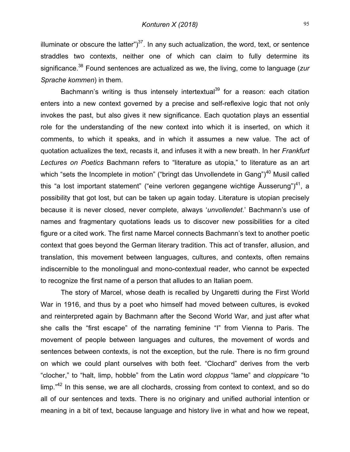illuminate or obscure the latter" $)^{37}$ . In any such actualization, the word, text, or sentence straddles two contexts, neither one of which can claim to fully determine its significance.38 Found sentences are actualized as we, the living, come to language (*zur Sprache kommen*) in them.

Bachmann's writing is thus intensely intertextual<sup>39</sup> for a reason: each citation enters into a new context governed by a precise and self-reflexive logic that not only invokes the past, but also gives it new significance. Each quotation plays an essential role for the understanding of the new context into which it is inserted, on which it comments, to which it speaks, and in which it assumes a new value. The act of quotation actualizes the text, recasts it, and infuses it with a new breath. In her *Frankfurt Lectures on Poetics* Bachmann refers to "literature as utopia," to literature as an art which "sets the Incomplete in motion" ("bringt das Unvollendete in Gang") $40$  Musil called this "a lost important statement" ("eine verloren gegangene wichtige Äusserung")<sup>41</sup>, a possibility that got lost, but can be taken up again today. Literature is utopian precisely because it is never closed, never complete, always '*unvollendet*.' Bachmann's use of names and fragmentary quotations leads us to discover new possibilities for a cited figure or a cited work. The first name Marcel connects Bachmann's text to another poetic context that goes beyond the German literary tradition. This act of transfer, allusion, and translation, this movement between languages, cultures, and contexts, often remains indiscernible to the monolingual and mono-contextual reader, who cannot be expected to recognize the first name of a person that alludes to an Italian poem.

The story of Marcel, whose death is recalled by Ungaretti during the First World War in 1916, and thus by a poet who himself had moved between cultures, is evoked and reinterpreted again by Bachmann after the Second World War, and just after what she calls the "first escape" of the narrating feminine "I" from Vienna to Paris. The movement of people between languages and cultures, the movement of words and sentences between contexts, is not the exception, but the rule. There is no firm ground on which we could plant ourselves with both feet. "Clochard" derives from the verb "clocher," to "halt, limp, hobble" from the Latin word *cloppus* "lame" and *cloppicare* "to limp."<sup>42</sup> In this sense, we are all clochards, crossing from context to context, and so do all of our sentences and texts. There is no originary and unified authorial intention or meaning in a bit of text, because language and history live in what and how we repeat,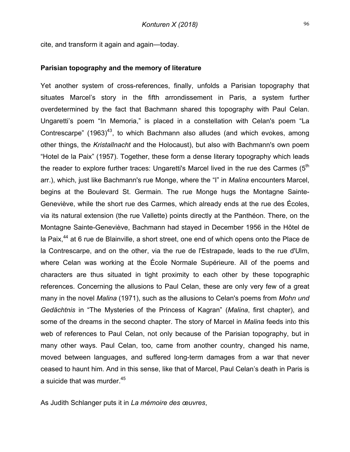cite, and transform it again and again—today.

#### **Parisian topography and the memory of literature**

Yet another system of cross-references, finally, unfolds a Parisian topography that situates Marcel's story in the fifth arrondissement in Paris, a system further overdetermined by the fact that Bachmann shared this topography with Paul Celan. Ungaretti's poem "In Memoria," is placed in a constellation with Celan's poem "La Contrescarpe" (1963)<sup>43</sup>, to which Bachmann also alludes (and which evokes, among other things, the *Kristallnacht* and the Holocaust), but also with Bachmann's own poem "Hotel de la Paix" (1957). Together, these form a dense literary topography which leads the reader to explore further traces: Ungaretti's Marcel lived in the rue des Carmes  $(5<sup>th</sup>$ arr.), which, just like Bachmann's rue Monge, where the "I" in *Malina* encounters Marcel, begins at the Boulevard St. Germain. The rue Monge hugs the Montagne Sainte-Geneviève, while the short rue des Carmes, which already ends at the rue des Écoles, via its natural extension (the rue Vallette) points directly at the Panthéon. There, on the Montagne Sainte-Geneviève, Bachmann had stayed in December 1956 in the Hôtel de la Paix,<sup>44</sup> at 6 rue de Blainville, a short street, one end of which opens onto the Place de la Contrescarpe, and on the other, via the rue de l'Estrapade, leads to the rue d'Ulm, where Celan was working at the École Normale Supérieure. All of the poems and characters are thus situated in tight proximity to each other by these topographic references. Concerning the allusions to Paul Celan, these are only very few of a great many in the novel *Malina* (1971), such as the allusions to Celan's poems from *Mohn und Gedächtnis* in "The Mysteries of the Princess of Kagran" (*Malina*, first chapter), and some of the dreams in the second chapter. The story of Marcel in *Malina* feeds into this web of references to Paul Celan, not only because of the Parisian topography, but in many other ways. Paul Celan, too, came from another country, changed his name, moved between languages, and suffered long-term damages from a war that never ceased to haunt him. And in this sense, like that of Marcel, Paul Celan's death in Paris is a suicide that was murder.<sup>45</sup>

As Judith Schlanger puts it in *La mémoire des œuvres*,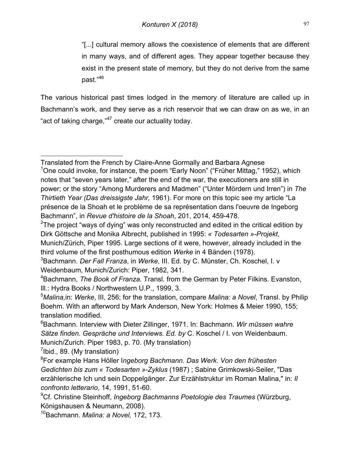"[...] cultural memory allows the coexistence of elements that are different in many ways, and of different ages. They appear together because they exist in the present state of memory, but they do not derive from the same past."46

The various historical past times lodged in the memory of literature are called up in Bachmann's work, and they serve as a rich reservoir that we can draw on as we, in an "act of taking charge,"<sup>47</sup> create our actuality today.

 $7$ Ibid., 89. (My translation)

10Bachmann. *Malina: a Novel,* 172, 173.

 $\overline{a}$ Translated from the French by Claire-Anne Gormally and Barbara Agnese <sup>1</sup>One could invoke, for instance, the poem "Early Noon" ("Früher Mittag," 1952), which notes that "seven years later," after the end of the war, the executioners are still in power; or the story "Among Murderers and Madmen" ("Unter Mördern und Irren") in *The Thirtieth Year (Das dreissigste Jahr,* 1961). For more on this topic see my article "La présence de la Shoah et le problème de sa représentation dans l'oeuvre de Ingeborg Bachmann", in *Revue d'histoire de la Shoah*, 201, 2014, 459-478.

 $2$ The project "ways of dying" was only reconstructed and edited in the critical edition by Dirk Göttsche and Monika Albrecht, published in 1995: *« Todesarten »-Projekt*, Munich/Zürich, Piper 1995. Large sections of it were, however, already included in the third volume of the first posthumous edition *Werke* in 4 Bänden (1978).

<sup>3</sup> Bachmann. *Der Fall Franza*, in *Werke*, III. Ed. by C. Münster, Ch. Koschel, I. v Weidenbaum, Munich/Zurich: Piper, 1982, 341.

<sup>4</sup> Bachmann, *The Book of Franza.* Transl. from the German by Peter Filkins. Evanston, Ill.: Hydra Books / Northwestern U.P., 1999, 3.

<sup>5</sup> *Malina,*in: *Werke*, III, 256; for the translation, compare *Malina: a Novel*, Transl. by Philip Boehm. With an afterword by Mark Anderson, New York: Holmes & Meier 1990, 155; translation modified.

<sup>6</sup> Bachmann. Interview with Dieter Zillinger, 1971. In: Bachmann. *Wir müssen wahre Sätze finden. Gespräche und Interviews. Ed. by* C. Koschel / I. von Weidenbaum. Munich/Zurich. Piper 1983, p. 70. (My translation)

<sup>8</sup> For example Hans Höller I*ngeborg Bachmann. Das Werk. Von den frühesten Gedichten bis zum « Todesarten »-Zyklus* (1987) ; Sabine Grimkowski-Seiler, "Das erzählerische Ich und sein Doppelgänger. Zur Erzählstruktur im Roman Malina," in: *Il confronto letterario*, 14, 1991, 51-60.

<sup>9</sup> Cf. Christine Steinhoff, *Ingeborg Bachmanns Poetologie des Traumes* (Würzburg, Königshausen & Neumann, 2008).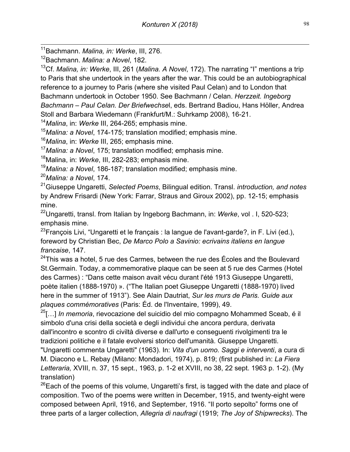11Bachmann. *Malina, in: Werke*, III, 276.

12Bachmann. *Malina: a Novel*, 182.

13Cf. *Malina, in: Werke*, III, 261 (*Malina. A Novel*, 172). The narrating "I" mentions a trip to Paris that she undertook in the years after the war. This could be an autobiographical reference to a journey to Paris (where she visited Paul Celan) and to London that Bachmann undertook in October 1950. See Bachmann / Celan. *Herzzeit. Ingeborg Bachmann – Paul Celan. Der Briefwechse*l, eds. Bertrand Badiou, Hans Höller, Andrea Stoll and Barbara Wiedemann (Frankfurt/M.: Suhrkamp 2008), 16-21.

<sup>14</sup>*Malina*, in: *Werke* III, 264-265; emphasis mine.

<sup>15</sup>*Malina: a Novel*, 174-175; translation modified; emphasis mine.

<sup>16</sup>*Malina*, in: *Werke* III, 265; emphasis mine.

<sup>17</sup>*Malina: a Novel*, 175; translation modified; emphasis mine.

18Malina, in: *Werke*, III, 282-283; emphasis mine.

<sup>19</sup>*Malina: a Novel*, 186-187; translation modified; emphasis mine.

<sup>20</sup>*Malina: a Novel*, 174.

21Giuseppe Ungaretti, *Selected Poems*, Bilingual edition. Transl. *introduction, and notes* by Andrew Frisardi (New York: Farrar, Straus and Giroux 2002), pp. 12-15; emphasis mine.

22Ungaretti, transl. from Italian by Ingeborg Bachmann, in: *Werke*, vol . I, 520-523; emphasis mine.

<sup>23</sup>François Livi, "Ungaretti et le français : la langue de l'avant-garde?, in F. Livi (ed.), foreword by Christian Bec, *De Marco Polo a Savinio: ecrivains italiens en langue francaise*, 147.

 $24$ This was a hotel, 5 rue des Carmes, between the rue des Écoles and the Boulevard St.Germain. Today, a commemorative plaque can be seen at 5 rue des Carmes (Hotel des Carmes) : "Dans cette maison avait vécu durant l'été 1913 Giuseppe Ungaretti, poète italien (1888-1970) ». ("The Italian poet Giuseppe Ungaretti (1888-1970) lived here in the summer of 1913"). See Alain Dautriat, *Sur les murs de Paris. Guide aux plaques commémoratives* (Paris: Éd. de l'Inventaire, 1999), 49.

25[…] *In memoria*, rievocazione del suicidio del mio compagno Mohammed Sceab, é il simbolo d'una crisi della società e degli individui che ancora perdura, derivata dall'incontro e scontro di civiltà diverse e dall'urto e conseguenti rivolgimenti tra le tradizioni politiche e il fatale evolversi storico dell'umanità. Giuseppe Ungaretti.

"Ungaretti commenta Ungaretti" (1963). In: *Vita d'un uomo. Saggi e interventi*, a cura di M. Diacono e L. Rebay (Milano: Mondadori, 1974), p. 819; (first published in: *La Fiera Letteraria,* XVIII, n. 37, 15 sept., 1963, p. 1-2 et XVIII, no 38, 22 sept. 1963 p. 1-2). (My translation)

 $26$ Each of the poems of this volume, Ungaretti's first, is tagged with the date and place of composition. Two of the poems were written in December, 1915, and twenty-eight were composed between April, 1916, and September, 1916. "Il porto sepolto" forms one of three parts of a larger collection, *Allegria di naufragi* (1919; *The Joy of Shipwrecks*). The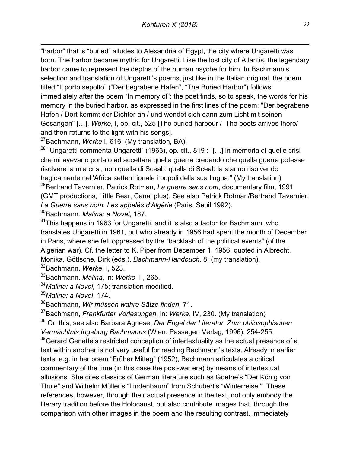$\overline{a}$ "harbor" that is "buried" alludes to Alexandria of Egypt, the city where Ungaretti was born. The harbor became mythic for Ungaretti. Like the lost city of Atlantis, the legendary harbor came to represent the depths of the human psyche for him. In Bachmann's selection and translation of Ungaretti's poems, just like in the Italian original, the poem titled "Il porto sepolto" ("Der begrabene Hafen", "The Buried Harbor") follows immediately after the poem "In memory of": the poet finds, so to speak, the words for his memory in the buried harbor, as expressed in the first lines of the poem: "Der begrabene Hafen / Dort kommt der Dichter an / und wendet sich dann zum Licht mit seinen Gesängen" […], *Werke*, I, op. cit., 525 [The buried harbour / The poets arrives there/ and then returns to the light with his songs].

27Bachmann, *Werke* I, 616. (My translation, BA).

 $28$  "Ungaretti commenta Ungaretti" (1963), op. cit., 819 : "[...] in memoria di quelle crisi che mi avevano portato ad accettare quella guerra credendo che quella guerra potesse risolvere la mia crisi, non quella di Sceab: quella di Sceab la stanno risolvendo tragicamente nell'Africa settentrionale i popoli della sua lingua." (My translation) 29Bertrand Tavernier, Patrick Rotman, *La guerre sans nom*, documentary film, 1991 (GMT productions, Little Bear, Canal plus). See also Patrick Rotman/Bertrand Tavernier, *La Guerre sans nom. Les appelés d'Algérie* (Paris, Seuil 1992).

30Bachmann. *Malina: a Novel*, 187.

<sup>31</sup>This happens in 1963 for Ungaretti, and it is also a factor for Bachmann, who translates Ungaretti in 1961, but who already in 1956 had spent the month of December in Paris, where she felt oppressed by the "backlash of the political events" (of the Algerian war). Cf. the letter to K. Piper from December 1, 1956, quoted in Albrecht, Monika, Göttsche, Dirk (eds.), *Bachmann-Handbuch,* 8; (my translation).

32Bachmann. *Werke*, I, 523.

33Bachmann. *Malina*, in: *Werke* III, 265.

<sup>34</sup>*Malina: a Novel,* 175; translation modified.

<sup>35</sup>*Malina: a Novel*, 174.

36Bachmann, *Wir müssen wahre Sätze finden*, 71.

37Bachmann, *Frankfurter Vorlesungen*, in: *Werke*, IV, 230. (My translation)

<sup>38</sup> On this, see also Barbara Agnese, *Der Engel der Literatur. Zum philosophischen Vermächtnis Ingeborg Bachmanns* (Wien: Passagen Verlag, 1996), 254-255.

 $39$ Gerard Genette's restricted conception of intertextuality as the actual presence of a text within another is not very useful for reading Bachmann's texts. Already in earlier texts, e.g. in her poem "Früher Mittag" (1952), Bachmann articulates a critical commentary of the time (in this case the post-war era) by means of intertextual allusions. She cites classics of German literature such as Goethe's "Der König von Thule" and Wilhelm Müller's "Lindenbaum" from Schubert's "Winterreise." These references, however, through their actual presence in the text, not only embody the literary tradition before the Holocaust, but also contribute images that, through the comparison with other images in the poem and the resulting contrast, immediately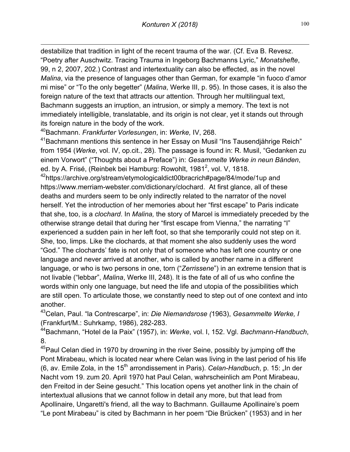$\overline{a}$ destabilize that tradition in light of the recent trauma of the war. (Cf. Eva B. Revesz. "Poetry after Auschwitz. Tracing Trauma in Ingeborg Bachmanns Lyric," *Monatshefte*, 99, n 2, 2007, 202.) Contrast and intertextuality can also be effected, as in the novel *Malina*, via the presence of languages other than German, for example "in fuoco d'amor mi mise" or "To the only begetter" (*Malina*, Werke III, p. 95). In those cases, it is also the foreign nature of the text that attracts our attention. Through her multilingual text, Bachmann suggests an irruption, an intrusion, or simply a memory. The text is not immediately intelligible, translatable, and its origin is not clear, yet it stands out through its foreign nature in the body of the work.

40Bachmann. *Frankfurter Vorlesungen*, in: *Werke,* IV, 268.

<sup>41</sup>Bachmann mentions this sentence in her Essay on Musil "Ins Tausendiährige Reich" from 1954 (*Werke*, vol. IV, op.cit., 28). The passage is found in: R. Musil, "Gedanken zu einem Vorwort" ("Thoughts about a Preface") in: *Gesammelte Werke in neun Bänden*, ed. by A. Frisé, (Reinbek bei Hamburg: Rowohlt, 1981<sup>2</sup>, vol. V, 1818.

<sup>42</sup>https://archive.org/stream/etymologicaldict00bracrich#page/84/mode/1up and https://www.merriam-webster.com/dictionary/clochard. At first glance, all of these deaths and murders seem to be only indirectly related to the narrator of the novel herself. Yet the introduction of her memories about her "first escape" to Paris indicate that she, too, is a *clochard*. In *Malina,* the story of Marcel is immediately preceded by the otherwise strange detail that during her "first escape from Vienna," the narrating "I" experienced a sudden pain in her left foot, so that she temporarily could not step on it. She, too, limps. Like the clochards, at that moment she also suddenly uses the word "God." The clochards' fate is not only that of someone who has left one country or one language and never arrived at another, who is called by another name in a different language, or who is two persons in one, torn ("*Zerrissene*") in an extreme tension that is not livable ("lebbar", *Malina*, Werke III, 248). It is the fate of all of us who confine the words within only one language, but need the life and utopia of the possibilities which are still open. To articulate those, we constantly need to step out of one context and into another.

43Celan, Paul. "la Contrescarpe", in: *Die Niemandsrose (*1963), *Gesammelte Werke, I*  (Frankfurt/M.: Suhrkamp, 1986), 282-283.

44Bachmann, "Hotel de la Paix" (1957), in: *Werke*, vol. I, 152. Vgl. *Bachmann-Handbuch*, 8.

<sup>45</sup>Paul Celan died in 1970 by drowning in the river Seine, possibly by jumping off the Pont Mirabeau, which is located near where Celan was living in the last period of his life (6, av. Emile Zola, in the 15<sup>th</sup> arrondissement in Paris). *Celan-Handbuch*, p. 15: "In der Nacht vom 19. zum 20. April 1970 hat Paul Celan, wahrscheinlich am Pont Mirabeau, den Freitod in der Seine gesucht." This location opens yet another link in the chain of intertextual allusions that we cannot follow in detail any more, but that lead from Apollinaire, Ungaretti's friend, all the way to Bachmann. Guillaume Apollinaire's poem "Le pont Mirabeau" is cited by Bachmann in her poem "Die Brücken" (1953) and in her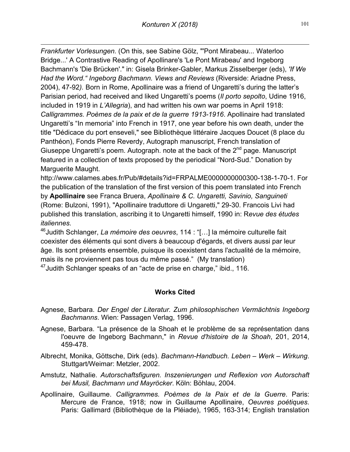$\overline{a}$ *Frankfurter Vorlesungen.* (On this, see Sabine Gölz, "'Pont Mirabeau... Waterloo Bridge...' A Contrastive Reading of Apollinare's 'Le Pont Mirabeau' and Ingeborg Bachmann's 'Die Brücken'." in: Gisela Brinker-Gabler, Markus Zisselberger (eds), *'If We Had the Word." Ingeborg Bachmann. Views and Reviews* (Riverside: Ariadne Press, 2004), 47-92*).* Born in Rome, Apollinaire was a friend of Ungaretti's during the latter's Parisian period, had received and liked Ungaretti's poems (*Il porto sepolto*, Udine 1916, included in 1919 in *L'Allegria*), and had written his own war poems in April 1918: *Calligrammes. Poèmes de la paix et de la guerre 1913-1916*. Apollinaire had translated Ungaretti's "In memoria" into French in 1917, one year before his own death, under the title "Dédicace du port enseveli," see Bibliothèque littéraire Jacques Doucet (8 place du Panthéon), Fonds Pierre Reverdy, Autograph manuscript, French translation of Giuseppe Ungaretti's poem. Autograph. note at the back of the  $2^{nd}$  page. Manuscript featured in a collection of texts proposed by the periodical "Nord-Sud." Donation by Marguerite Maught.

http://www.calames.abes.fr/Pub/#details?id=FRPALME0000000000300-138-1-70-1. For the publication of the translation of the first version of this poem translated into French by **Apollinaire** see Franca Bruera, *Apollinaire & C. Ungaretti, Savinio, Sanguineti* (Rome: Bulzoni, 1991), "Apollinaire traduttore di Ungaretti," 29-30. Francois Livi had published this translation, ascribing it to Ungaretti himself, 1990 in: R*evue des études italiennes.*

46Judith Schlanger, *La mémoire des oeuvres*, 114 : "[…] la mémoire culturelle fait coexister des éléments qui sont divers à beaucoup d'égards, et divers aussi par leur âge. Ils sont présents ensemble, puisque ils coexistent dans l'actualité de la mémoire, mais ils ne proviennent pas tous du même passé." (My translation)

<sup>47</sup> Judith Schlanger speaks of an "acte de prise en charge," ibid., 116.

# **Works Cited**

- Agnese, Barbara. *Der Engel der Literatur. Zum philosophischen Vermächtnis Ingeborg Bachmanns*. Wien: Passagen Verlag, 1996.
- Agnese, Barbara. "La présence de la Shoah et le problème de sa représentation dans l'oeuvre de Ingeborg Bachmann," in *Revue d'histoire de la Shoah*, 201, 2014, 459-478.
- Albrecht, Monika, Göttsche, Dirk (eds). *Bachmann-Handbuch. Leben – Werk – Wirkung*. Stuttgart/Weimar: Metzler, 2002.
- Amstutz, Nathalie. *Autorschaftsfiguren. Inszenierungen und Reflexion von Autorschaft bei Musil, Bachmann und Mayröcker*. Köln: Böhlau, 2004.
- Apollinaire, Guillaume. *Calligrammes. Poèmes de la Paix et de la Guerre*. Paris: Mercure de France, 1918; now in Guillaume Apollinaire, *Oeuvres poétiques*. Paris: Gallimard (Bibliothèque de la Pléiade), 1965, 163-314; English translation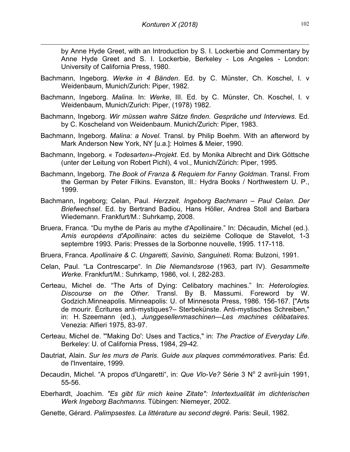$\overline{a}$ 

by Anne Hyde Greet, with an Introduction by S. I. Lockerbie and Commentary by Anne Hyde Greet and S. I. Lockerbie, Berkeley - Los Angeles - London: University of California Press, 1980.

- Bachmann, Ingeborg. *Werke in 4 Bänden*. Ed. by C. Münster, Ch. Koschel, I. v Weidenbaum, Munich/Zurich: Piper, 1982.
- Bachmann, Ingeborg. *Malina*. In: *Werke*, III. Ed. by C. Münster, Ch. Koschel, I. v Weidenbaum, Munich/Zurich: Piper, (1978) 1982.
- Bachmann, Ingeborg. *Wir müssen wahre Sätze finden. Gespräche und Interviews*. Ed. by C. Koscheland von Weidenbaum. Munich/Zurich: Piper, 1983.
- Bachmann, Ingeborg. *Malina: a Novel.* Transl. by Philip Boehm. With an afterword by Mark Anderson New York, NY [u.a.]: Holmes & Meier, 1990.
- Bachmann, Ingeborg. « *Todesarten»-Projekt*. Ed. by Monika Albrecht and Dirk Göttsche (unter der Leitung von Robert Pichl), 4 vol., Munich/Zürich: Piper, 1995.
- Bachmann, Ingeborg. *The Book of Franza & Requiem for Fanny Goldman.* Transl. From the German by Peter Filkins. Evanston, Ill.: Hydra Books / Northwestern U. P., 1999.
- Bachmann, Ingeborg; Celan, Paul. *Herzzeit. Ingeborg Bachmann – Paul Celan. Der Briefwechsel*. Ed. by Bertrand Badiou, Hans Höller, Andrea Stoll and Barbara Wiedemann. Frankfurt/M.: Suhrkamp, 2008.
- Bruera, Franca. "Du mythe de Paris au mythe d'Apollinaire." In: Décaudin, Michel (ed.). *Amis européens d'Apollinaire*: actes du seizième Colloque de Stavelot, 1-3 septembre 1993. Paris: Presses de la Sorbonne nouvelle, 1995. 117-118.
- Bruera, Franca. *Apollinaire & C. Ungaretti, Savinio, Sanguineti*. Roma: Bulzoni, 1991.
- Celan, Paul. "La Contrescarpe". In *Die Niemandsrose* (1963, part IV). *Gesammelte Werke.* Frankfurt/M.: Suhrkamp, 1986, vol. I, 282-283.
- Certeau, Michel de. "The Arts of Dying: Celibatory machines." In: *Heterologies. Discourse on the Other*. Transl. By B. Massumi. Foreword by W. Godzich.Minneapolis. Minneapolis: U. of Minnesota Press, 1986. 156-167. ["Arts de mourir. Écritures anti-mystiques?– Sterbekünste. Anti-mystisches Schreiben," in: H. Szeemann (ed.), *Junggesellenmaschinen—Les machines célibataires*. Venezia: Alfieri 1975, 83-97.
- Certeau, Michel de. "'Making Do': Uses and Tactics," in: *The Practice of Everyday Life*. Berkeley: U. of California Press, 1984, 29-42.
- Dautriat, Alain. *Sur les murs de Paris. Guide aux plaques commémoratives*. Paris: Éd. de l'Inventaire, 1999.
- Decaudin, Michel. "A propos d'Ungaretti", in: Que Vlo-Ve? Série 3 N° 2 avril-juin 1991, 55-56.
- Eberhardt, Joachim. *"Es gibt für mich keine Zitate": Intertextualität im dichterischen Werk Ingeborg Bachmanns*. Tübingen: Niemeyer, 2002.
- Genette, Gérard. *Palimpsestes. La littérature au second degré*. Paris: Seuil, 1982.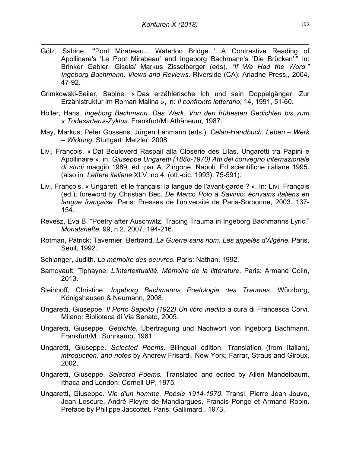$\overline{a}$ 

- Gölz, Sabine. "'Pont Mirabeau... Waterloo Bridge...' A Contrastive Reading of Apollinare's 'Le Pont Mirabeau' and Ingeborg Bachmann's 'Die Brücken'." in: Brinker Gabler, Gisela/ Markus Zisselberger (eds). *"If We Had the Word." Ingeborg Bachmann. Views and Reviews*. Riverside (CA): Ariadne Press,, 2004, 47-92.
- Grimkowski-Seiler, Sabine. « Das erzählerische Ich und sein Doppelgänger. Zur Erzählstruktur im Roman Malina », in: *Il confronto letterario*, 14, 1991, 51-60.
- Höller, Hans. *Ingeborg Bachmann. Das Werk. Von den frühesten Gedichten bis zum « Todesarten»-Zyklus.* Frankfurt/M: Athäneum, 1987.
- May, Markus; Peter Gossens; Jürgen Lehmann (eds.). *Celan-Handbuch. Leben – Werk – Wirkung*. Stuttgart: Metzler, 2008.
- Livi, François. « Dal Bouleverd Raspail alla Closerie des Lilas. Ungaretti tra Papini e Apollinaire ». in: *Giuseppe Ungaretti (1888-1970) Atti del convegno internazionale di studi* maggio 1989. éd. par A. Zingone. Napoli: Ed scientifiche italiane 1995. (also in: *Lettere italiane* XLV, no 4, (ott.-dic. 1993), 75-591).
- Livi, François. « Ungaretti et le français: la langue de l'avant-garde ? ». In: Livi, François (ed.), foreword by Christian Bec. *De Marco Polo à Savinio: écrivains italiens en langue française*. Paris: Presses de l'université de Paris-Sorbonne, 2003. 137- 154.
- Revesz, Eva B. "Poetry after Auschwitz. Tracing Trauma in Ingeborg Bachmanns Lyric." *Monatshefte*, 99, n 2, 2007, 194-216.
- Rotman, Patrick; Tavernier, Bertrand. *La Guerre sans nom. Les appelés d'Algérie*. Paris, Seuil, 1992.
- Schlanger, Judith. *La mémoire des oeuvres*. Paris: Nathan, 1992.
- Samoyault, Tiphayne. *L'intertextualité. Mémoire de la littérature*. Paris: Armand Colin, 2013.
- Steinhoff, Christine. *Ingeborg Bachmanns Poetologie des Traumes*. Würzburg, Königshausen & Neumann, 2008.
- Ungaretti, Giuseppe. *Il Porto Sepolto (1922) Un libro inedito* a cura di Francesca Corvi. Milano: Biblioteca di Via Senato, 2005.
- Ungaretti, Giuseppe. *Gedichte*, Übertragung und Nachwort von Ingeborg Bachmann. Frankfurt/M.: Suhrkamp, 1961.
- Ungaretti, Giuseppe. *Selected Poems*. Bilingual edition. Translation (from Italian), *introduction, and notes* by Andrew Frisardi. New York: Farrar, Straus and Giroux, 2002.
- Ungaretti, Giuseppe. *Selected Poems.* Translated and edited by Allen Mandelbaum. Ithaca and London: Cornell UP, 1975.
- Ungaretti, Giuseppe. V*ie d'un homme. Poésie 1914-1970*. Transl. Pierre Jean Jouve, Jean Lescure, André Pieyre de Mandiargues, Francis Ponge et Armand Robin. Preface by Philippe Jaccottet. Paris: Gallimard,, 1973.